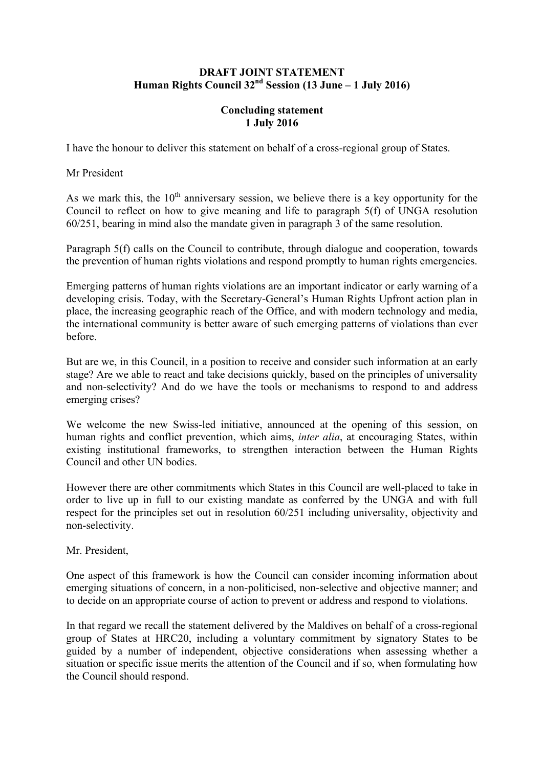## **DRAFT JOINT STATEMENT Human Rights Council 32nd Session (13 June – 1 July 2016)**

## **Concluding statement 1 July 2016**

I have the honour to deliver this statement on behalf of a cross-regional group of States.

Mr President

As we mark this, the  $10<sup>th</sup>$  anniversary session, we believe there is a key opportunity for the Council to reflect on how to give meaning and life to paragraph 5(f) of UNGA resolution 60/251, bearing in mind also the mandate given in paragraph 3 of the same resolution.

Paragraph 5(f) calls on the Council to contribute, through dialogue and cooperation, towards the prevention of human rights violations and respond promptly to human rights emergencies.

Emerging patterns of human rights violations are an important indicator or early warning of a developing crisis. Today, with the Secretary-General's Human Rights Upfront action plan in place, the increasing geographic reach of the Office, and with modern technology and media, the international community is better aware of such emerging patterns of violations than ever before.

But are we, in this Council, in a position to receive and consider such information at an early stage? Are we able to react and take decisions quickly, based on the principles of universality and non-selectivity? And do we have the tools or mechanisms to respond to and address emerging crises?

We welcome the new Swiss-led initiative, announced at the opening of this session, on human rights and conflict prevention, which aims, *inter alia*, at encouraging States, within existing institutional frameworks, to strengthen interaction between the Human Rights Council and other UN bodies.

However there are other commitments which States in this Council are well-placed to take in order to live up in full to our existing mandate as conferred by the UNGA and with full respect for the principles set out in resolution 60/251 including universality, objectivity and non-selectivity.

Mr. President,

One aspect of this framework is how the Council can consider incoming information about emerging situations of concern, in a non-politicised, non-selective and objective manner; and to decide on an appropriate course of action to prevent or address and respond to violations.

In that regard we recall the statement delivered by the Maldives on behalf of a cross-regional group of States at HRC20, including a voluntary commitment by signatory States to be guided by a number of independent, objective considerations when assessing whether a situation or specific issue merits the attention of the Council and if so, when formulating how the Council should respond.